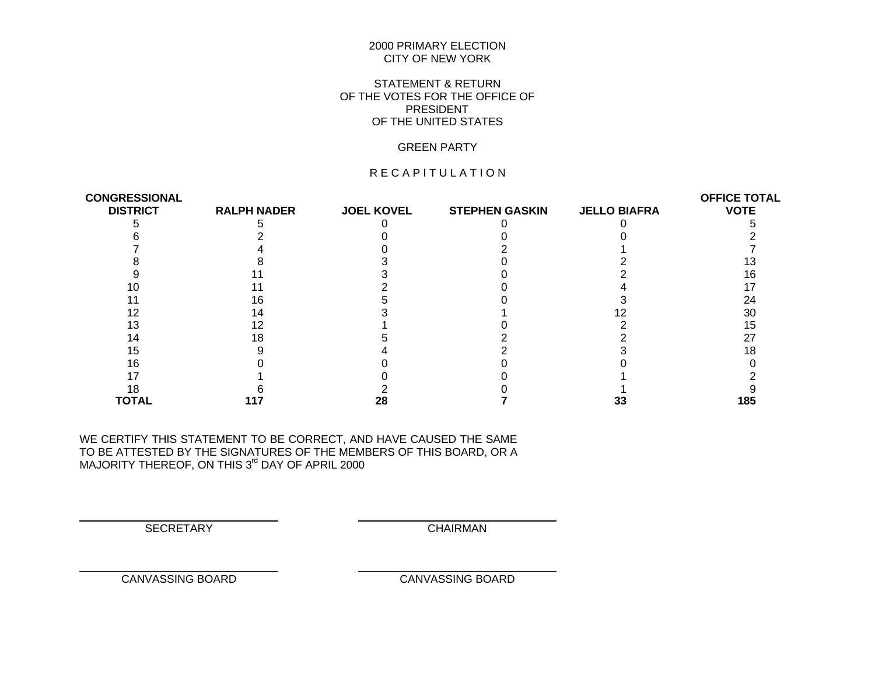#### 2000 PRIMARY ELECTION CITY OF NEW YORK

## STATEMENT & RETURN OF THE VOTES FOR THE OFFICE OF PRESIDENT OF THE UNITED STATES

#### GREEN PARTY

## R E C A P I T U L A T I O N

| <b>CONGRESSIONAL</b> |                    |                   |                       |                     | <b>OFFICE TOTAL</b> |
|----------------------|--------------------|-------------------|-----------------------|---------------------|---------------------|
| <b>DISTRICT</b>      | <b>RALPH NADER</b> | <b>JOEL KOVEL</b> | <b>STEPHEN GASKIN</b> | <b>JELLO BIAFRA</b> | <b>VOTE</b>         |
|                      |                    |                   |                       |                     |                     |
|                      |                    |                   |                       |                     |                     |
|                      |                    |                   |                       |                     |                     |
|                      |                    |                   |                       |                     |                     |
|                      |                    |                   |                       |                     |                     |
|                      |                    |                   |                       |                     |                     |
|                      | 16                 |                   |                       |                     | 24                  |
|                      | 14                 |                   |                       |                     | 30                  |
|                      |                    |                   |                       |                     | 15                  |
|                      | 18                 |                   |                       |                     | 27                  |
| 15                   |                    |                   |                       |                     |                     |
|                      |                    |                   |                       |                     |                     |
|                      |                    |                   |                       |                     |                     |
|                      |                    |                   |                       |                     |                     |
| TOTAL                |                    | 28                |                       | 33                  | 185                 |

WE CERTIFY THIS STATEMENT TO BE CORRECT, AND HAVE CAUSED THE SAME TO BE ATTESTED BY THE SIGNATURES OF THE MEMBERS OF THIS BOARD, OR A MAJORITY THEREOF, ON THIS 3<sup>rd</sup> DAY OF APRIL 2000

SECRETARY CHAIRMAN

 $\overline{a}$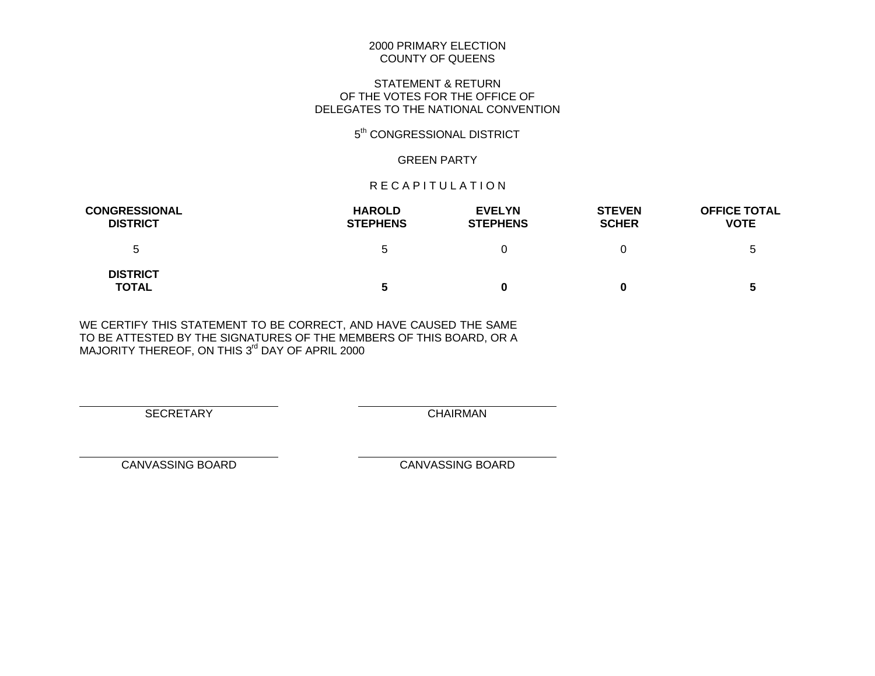#### 2000 PRIMARY ELECTION COUNTY OF QUEENS

## STATEMENT & RETURN OF THE VOTES FOR THE OFFICE OF DELEGATES TO THE NATIONAL CONVENTION

## 5<sup>th</sup> CONGRESSIONAL DISTRICT

#### GREEN PARTY

#### R E C A P I T U L A T I O N

| <b>CONGRESSIONAL</b><br><b>DISTRICT</b> | <b>HAROLD</b><br><b>STEPHENS</b> | <b>EVELYN</b><br><b>STEPHENS</b> | <b>STEVEN</b><br><b>SCHER</b> | <b>OFFICE TOTAL</b><br><b>VOTE</b> |
|-----------------------------------------|----------------------------------|----------------------------------|-------------------------------|------------------------------------|
| ა                                       | b                                |                                  |                               | b                                  |
| <b>DISTRICT</b><br><b>TOTAL</b>         | 5                                |                                  | 0                             | 5                                  |

WE CERTIFY THIS STATEMENT TO BE CORRECT, AND HAVE CAUSED THE SAME TO BE ATTESTED BY THE SIGNATURES OF THE MEMBERS OF THIS BOARD, OR A MAJORITY THEREOF, ON THIS 3<sup>rd</sup> DAY OF APRIL 2000

SECRETARY CHAIRMAN

 $\overline{a}$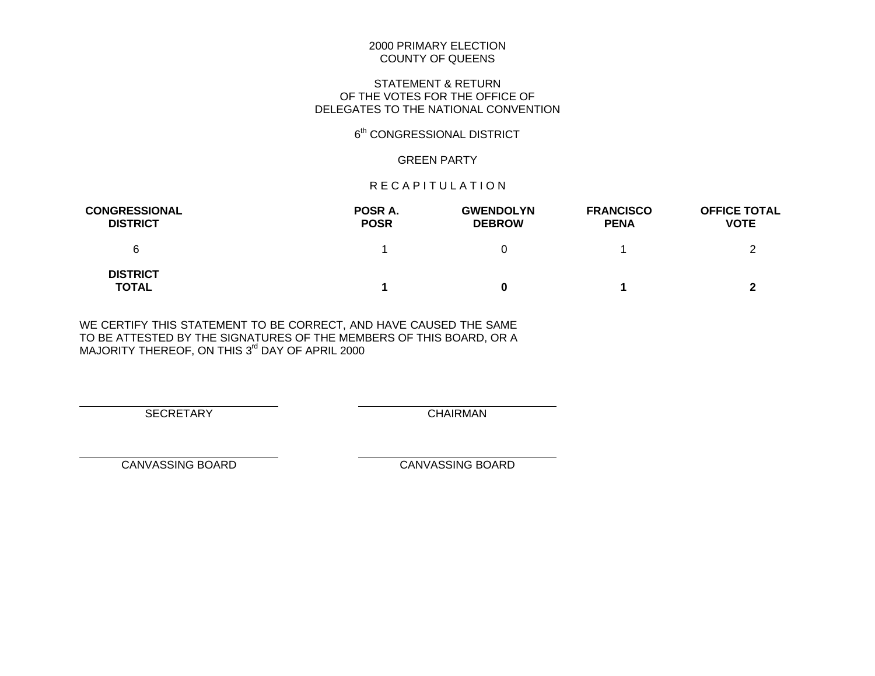#### 2000 PRIMARY ELECTION COUNTY OF QUEENS

## STATEMENT & RETURN OF THE VOTES FOR THE OFFICE OF DELEGATES TO THE NATIONAL CONVENTION

## 6<sup>th</sup> CONGRESSIONAL DISTRICT

#### GREEN PARTY

#### R E C A P I T U L A T I O N

| <b>CONGRESSIONAL</b><br><b>DISTRICT</b> | POSR A.<br><b>POSR</b> | <b>GWENDOLYN</b><br><b>DEBROW</b> | <b>FRANCISCO</b><br><b>PENA</b> | <b>OFFICE TOTAL</b><br><b>VOTE</b> |
|-----------------------------------------|------------------------|-----------------------------------|---------------------------------|------------------------------------|
| 6                                       |                        |                                   |                                 |                                    |
| <b>DISTRICT</b><br><b>TOTAL</b>         |                        |                                   |                                 |                                    |

WE CERTIFY THIS STATEMENT TO BE CORRECT, AND HAVE CAUSED THE SAME TO BE ATTESTED BY THE SIGNATURES OF THE MEMBERS OF THIS BOARD, OR A MAJORITY THEREOF, ON THIS 3<sup>rd</sup> DAY OF APRIL 2000

SECRETARY CHAIRMAN

 $\overline{a}$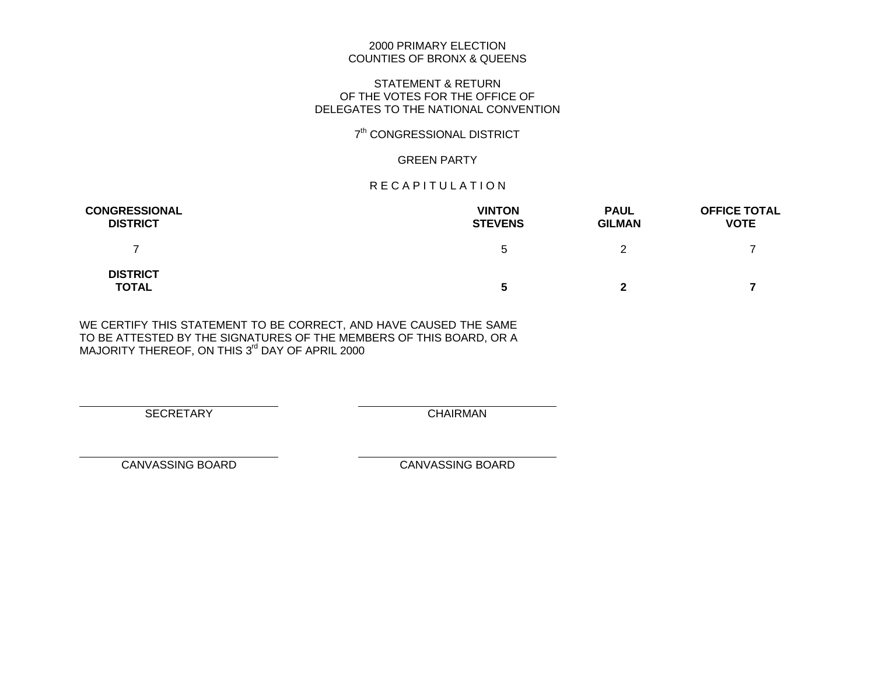## 2000 PRIMARY ELECTION COUNTIES OF BRONX & QUEENS

#### STATEMENT & RETURN OF THE VOTES FOR THE OFFICE OF DELEGATES TO THE NATIONAL CONVENTION

## 7<sup>th</sup> CONGRESSIONAL DISTRICT

#### GREEN PARTY

#### R E C A P I T U L A T I O N

| <b>CONGRESSIONAL</b><br><b>DISTRICT</b> | <b>VINTON</b><br><b>STEVENS</b> | <b>PAUL</b><br><b>GILMAN</b> | <b>OFFICE TOTAL</b><br><b>VOTE</b> |
|-----------------------------------------|---------------------------------|------------------------------|------------------------------------|
|                                         | b                               | っ                            |                                    |
| <b>DISTRICT</b><br><b>TOTAL</b>         | C                               | 2                            |                                    |

WE CERTIFY THIS STATEMENT TO BE CORRECT, AND HAVE CAUSED THE SAME TO BE ATTESTED BY THE SIGNATURES OF THE MEMBERS OF THIS BOARD, OR A MAJORITY THEREOF, ON THIS 3<sup>rd</sup> DAY OF APRIL 2000

SECRETARY CHAIRMAN

 $\overline{a}$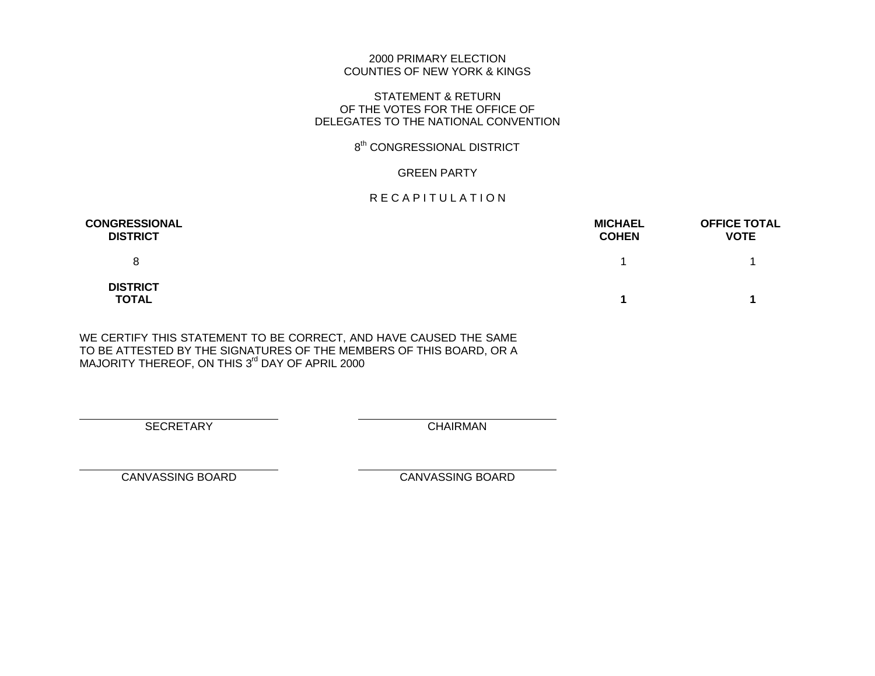#### 2000 PRIMARY ELECTION COUNTIES OF NEW YORK & KINGS

#### STATEMENT & RETURN OF THE VOTES FOR THE OFFICE OF DELEGATES TO THE NATIONAL CONVENTION

## 8<sup>th</sup> CONGRESSIONAL DISTRICT

#### GREEN PARTY

## R E C A P I T U L A T I O N

| <b>CONGRESSIONAL</b><br><b>DISTRICT</b> | <b>MICHAEL</b><br><b>COHEN</b> | <b>OFFICE TOTAL</b><br><b>VOTE</b> |
|-----------------------------------------|--------------------------------|------------------------------------|
| 8                                       |                                |                                    |
| <b>DISTRICT</b><br><b>TOTAL</b>         |                                |                                    |

WE CERTIFY THIS STATEMENT TO BE CORRECT, AND HAVE CAUSED THE SAME TO BE ATTESTED BY THE SIGNATURES OF THE MEMBERS OF THIS BOARD, OR A MAJORITY THEREOF, ON THIS 3<sup>rd</sup> DAY OF APRIL 2000

SECRETARY CHAIRMAN

 $\overline{a}$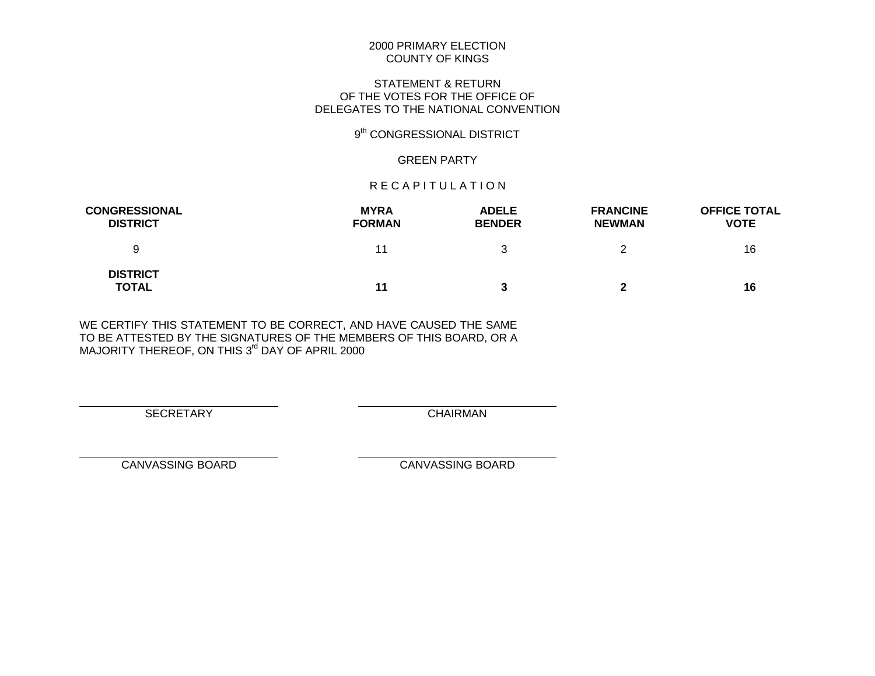## STATEMENT & RETURN OF THE VOTES FOR THE OFFICE OF DELEGATES TO THE NATIONAL CONVENTION

## 9<sup>th</sup> CONGRESSIONAL DISTRICT

#### GREEN PARTY

#### R E C A P I T U L A T I O N

| <b>CONGRESSIONAL</b><br><b>DISTRICT</b> | <b>MYRA</b><br><b>FORMAN</b> | <b>ADELE</b><br><b>BENDER</b> | <b>FRANCINE</b><br><b>NEWMAN</b> | <b>OFFICE TOTAL</b><br><b>VOTE</b> |
|-----------------------------------------|------------------------------|-------------------------------|----------------------------------|------------------------------------|
| 9                                       | 11                           |                               | っ                                | 16                                 |
| <b>DISTRICT</b><br><b>TOTAL</b>         | 11                           |                               | 2                                | 16                                 |

WE CERTIFY THIS STATEMENT TO BE CORRECT, AND HAVE CAUSED THE SAME TO BE ATTESTED BY THE SIGNATURES OF THE MEMBERS OF THIS BOARD, OR A MAJORITY THEREOF, ON THIS 3<sup>rd</sup> DAY OF APRIL 2000

SECRETARY CHAIRMAN

 $\overline{a}$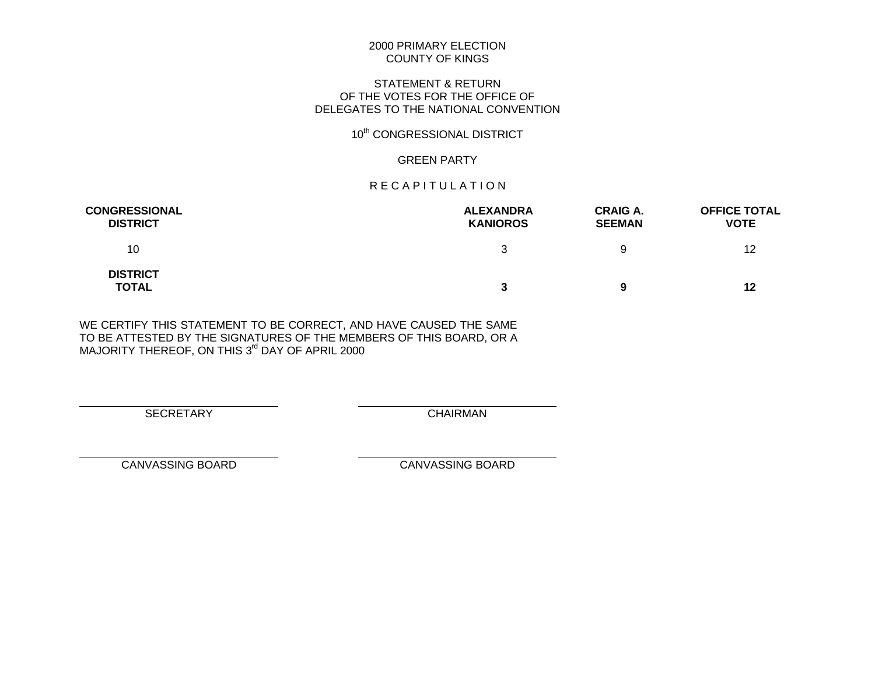## STATEMENT & RETURN OF THE VOTES FOR THE OFFICE OF DELEGATES TO THE NATIONAL CONVENTION

# 10<sup>th</sup> CONGRESSIONAL DISTRICT

## GREEN PARTY

## R E C A P I T U L A T I O N

| <b>CONGRESSIONAL</b><br><b>DISTRICT</b> | <b>ALEXANDRA</b><br><b>KANIOROS</b> | <b>CRAIG A.</b><br><b>SEEMAN</b> | <b>OFFICE TOTAL</b><br><b>VOTE</b> |
|-----------------------------------------|-------------------------------------|----------------------------------|------------------------------------|
| 10                                      | ঽ                                   | 9                                | 12                                 |
| <b>DISTRICT</b><br><b>TOTAL</b>         | 3                                   | 9                                | 12                                 |

WE CERTIFY THIS STATEMENT TO BE CORRECT, AND HAVE CAUSED THE SAME TO BE ATTESTED BY THE SIGNATURES OF THE MEMBERS OF THIS BOARD, OR A MAJORITY THEREOF, ON THIS 3<sup>rd</sup> DAY OF APRIL 2000

SECRETARY CHAIRMAN

 $\overline{a}$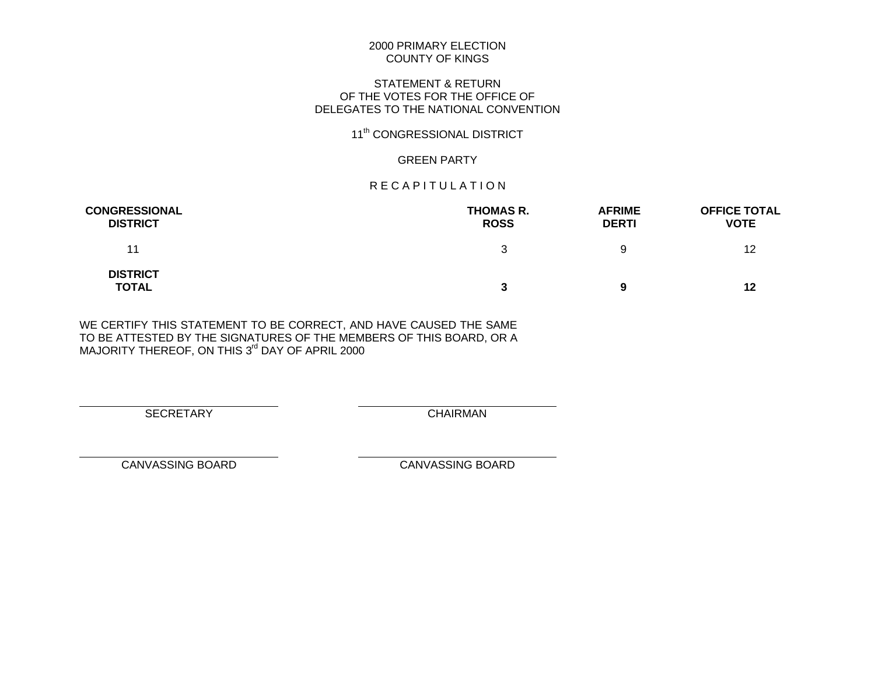## STATEMENT & RETURN OF THE VOTES FOR THE OFFICE OF DELEGATES TO THE NATIONAL CONVENTION

# 11<sup>th</sup> CONGRESSIONAL DISTRICT

## GREEN PARTY

## R E C A P I T U L A T I O N

| <b>CONGRESSIONAL</b><br><b>DISTRICT</b> | <b>THOMAS R.</b><br><b>ROSS</b> | <b>AFRIME</b><br><b>DERTI</b> | <b>OFFICE TOTAL</b><br><b>VOTE</b> |
|-----------------------------------------|---------------------------------|-------------------------------|------------------------------------|
| 11                                      |                                 | 9                             | 12                                 |
| <b>DISTRICT</b><br><b>TOTAL</b>         |                                 | 9                             | 12                                 |

WE CERTIFY THIS STATEMENT TO BE CORRECT, AND HAVE CAUSED THE SAME TO BE ATTESTED BY THE SIGNATURES OF THE MEMBERS OF THIS BOARD, OR A MAJORITY THEREOF, ON THIS 3<sup>rd</sup> DAY OF APRIL 2000

SECRETARY CHAIRMAN

 $\overline{a}$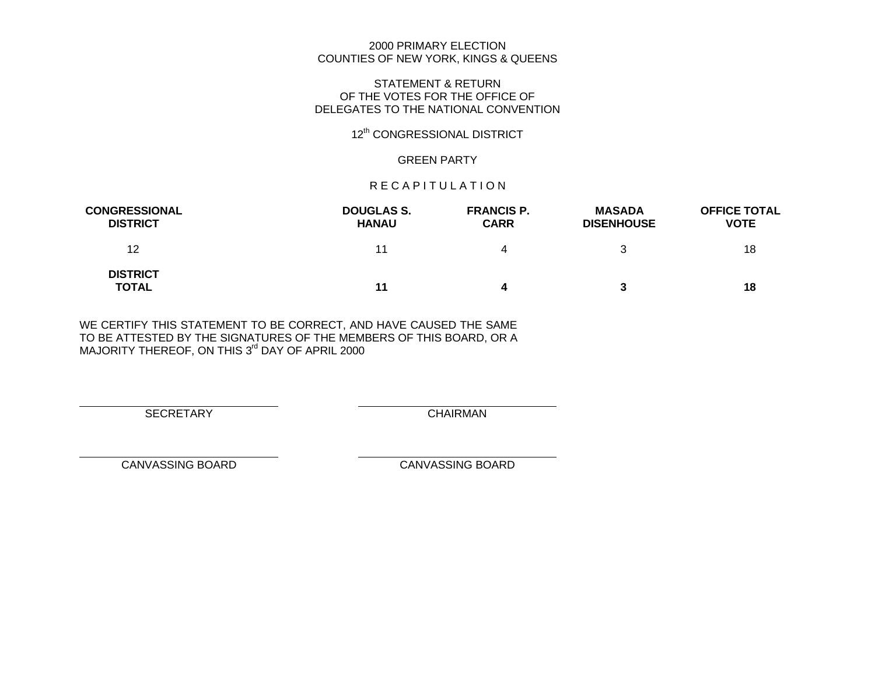#### 2000 PRIMARY ELECTION COUNTIES OF NEW YORK, KINGS & QUEENS

#### STATEMENT & RETURN OF THE VOTES FOR THE OFFICE OF DELEGATES TO THE NATIONAL CONVENTION

# 12<sup>th</sup> CONGRESSIONAL DISTRICT

## GREEN PARTY

#### R E C A P I T U L A T I O N

| <b>CONGRESSIONAL</b><br><b>DISTRICT</b> | <b>DOUGLAS S.</b><br><b>HANAU</b> | <b>FRANCIS P.</b><br><b>CARR</b> | <b>MASADA</b><br><b>DISENHOUSE</b> | <b>OFFICE TOTAL</b><br><b>VOTE</b> |
|-----------------------------------------|-----------------------------------|----------------------------------|------------------------------------|------------------------------------|
| 12                                      | 11                                |                                  |                                    | 18                                 |
| <b>DISTRICT</b><br><b>TOTAL</b>         | 11                                |                                  | 3                                  | 18                                 |

WE CERTIFY THIS STATEMENT TO BE CORRECT, AND HAVE CAUSED THE SAME TO BE ATTESTED BY THE SIGNATURES OF THE MEMBERS OF THIS BOARD, OR A MAJORITY THEREOF, ON THIS 3<sup>rd</sup> DAY OF APRIL 2000

SECRETARY CHAIRMAN

 $\overline{a}$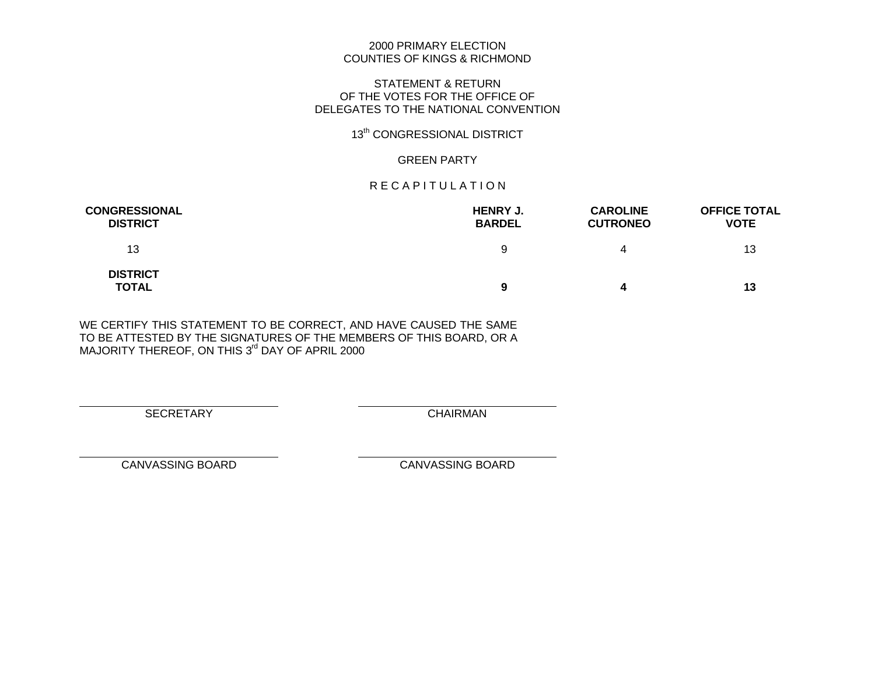## 2000 PRIMARY ELECTION COUNTIES OF KINGS & RICHMOND

#### STATEMENT & RETURN OF THE VOTES FOR THE OFFICE OF DELEGATES TO THE NATIONAL CONVENTION

# 13<sup>th</sup> CONGRESSIONAL DISTRICT

## GREEN PARTY

## R E C A P I T U L A T I O N

| <b>CONGRESSIONAL</b><br><b>DISTRICT</b> | <b>HENRY J.</b><br><b>BARDEL</b> | <b>CAROLINE</b><br><b>CUTRONEO</b> | <b>OFFICE TOTAL</b><br><b>VOTE</b> |
|-----------------------------------------|----------------------------------|------------------------------------|------------------------------------|
| 13                                      | 9                                | 4                                  | 13                                 |
| <b>DISTRICT</b><br><b>TOTAL</b>         | 9                                | 4                                  | 13                                 |

WE CERTIFY THIS STATEMENT TO BE CORRECT, AND HAVE CAUSED THE SAME TO BE ATTESTED BY THE SIGNATURES OF THE MEMBERS OF THIS BOARD, OR A MAJORITY THEREOF, ON THIS 3<sup>rd</sup> DAY OF APRIL 2000

SECRETARY CHAIRMAN

 $\overline{a}$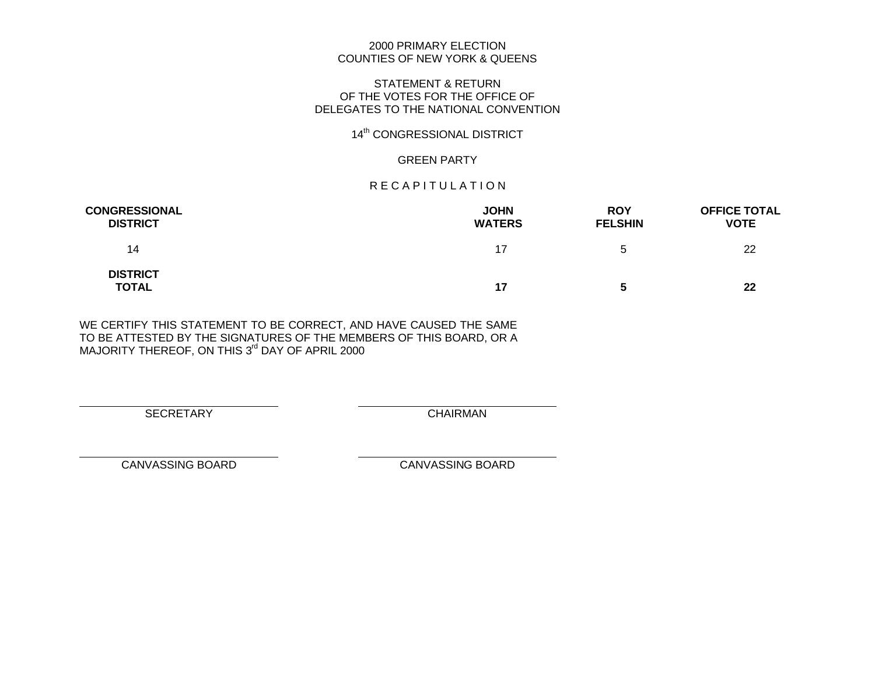## 2000 PRIMARY ELECTION COUNTIES OF NEW YORK & QUEENS

## STATEMENT & RETURN OF THE VOTES FOR THE OFFICE OF DELEGATES TO THE NATIONAL CONVENTION

# 14<sup>th</sup> CONGRESSIONAL DISTRICT

## GREEN PARTY

## R E C A P I T U L A T I O N

| <b>CONGRESSIONAL</b><br><b>DISTRICT</b> | <b>JOHN</b><br><b>WATERS</b> | <b>ROY</b><br><b>FELSHIN</b> | <b>OFFICE TOTAL</b><br><b>VOTE</b> |
|-----------------------------------------|------------------------------|------------------------------|------------------------------------|
| 14                                      | 17                           | b                            | 22                                 |
| <b>DISTRICT</b><br>TOTAL                | 17                           | 5                            | 22                                 |

WE CERTIFY THIS STATEMENT TO BE CORRECT, AND HAVE CAUSED THE SAME TO BE ATTESTED BY THE SIGNATURES OF THE MEMBERS OF THIS BOARD, OR A MAJORITY THEREOF, ON THIS 3<sup>rd</sup> DAY OF APRIL 2000

SECRETARY CHAIRMAN

 $\overline{a}$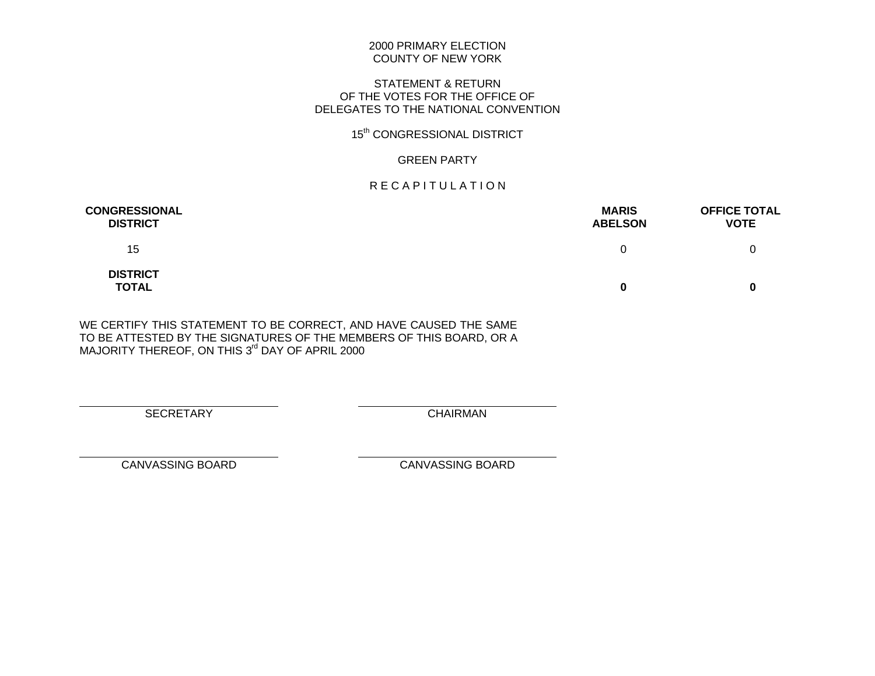#### 2000 PRIMARY ELECTION COUNTY OF NEW YORK

## STATEMENT & RETURN OF THE VOTES FOR THE OFFICE OF DELEGATES TO THE NATIONAL CONVENTION

# 15<sup>th</sup> CONGRESSIONAL DISTRICT

## GREEN PARTY

# R E C A P I T U L A T I O N

| <b>CONGRESSIONAL</b><br><b>DISTRICT</b> | <b>MARIS</b><br><b>ABELSON</b> | <b>OFFICE TOTAL</b><br><b>VOTE</b> |
|-----------------------------------------|--------------------------------|------------------------------------|
| 15                                      | 0                              |                                    |
| <b>DISTRICT</b><br><b>TOTAL</b>         | 0                              |                                    |

WE CERTIFY THIS STATEMENT TO BE CORRECT, AND HAVE CAUSED THE SAME TO BE ATTESTED BY THE SIGNATURES OF THE MEMBERS OF THIS BOARD, OR A MAJORITY THEREOF, ON THIS 3<sup>rd</sup> DAY OF APRIL 2000

SECRETARY CHAIRMAN

 $\overline{a}$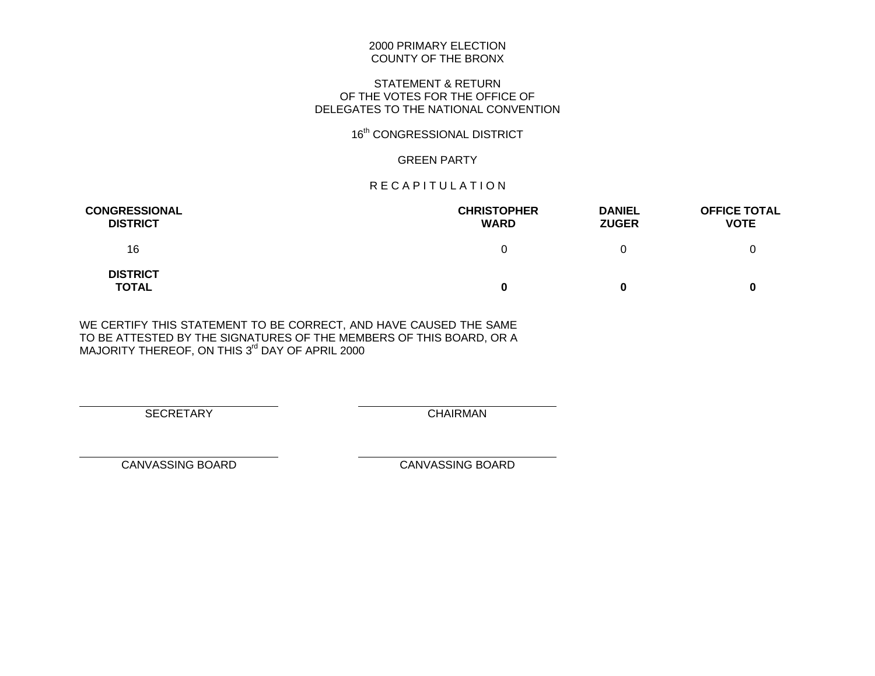#### 2000 PRIMARY ELECTION COUNTY OF THE BRONX

## STATEMENT & RETURN OF THE VOTES FOR THE OFFICE OF DELEGATES TO THE NATIONAL CONVENTION

# 16<sup>th</sup> CONGRESSIONAL DISTRICT

## GREEN PARTY

## R E C A P I T U L A T I O N

| <b>CONGRESSIONAL</b><br><b>DISTRICT</b> | <b>CHRISTOPHER</b><br><b>WARD</b> | <b>DANIEL</b><br><b>ZUGER</b> | <b>OFFICE TOTAL</b><br><b>VOTE</b> |
|-----------------------------------------|-----------------------------------|-------------------------------|------------------------------------|
| 16                                      | $^{\circ}$                        |                               |                                    |
| <b>DISTRICT</b><br>TOTAL                |                                   | 0                             |                                    |

WE CERTIFY THIS STATEMENT TO BE CORRECT, AND HAVE CAUSED THE SAME TO BE ATTESTED BY THE SIGNATURES OF THE MEMBERS OF THIS BOARD, OR A MAJORITY THEREOF, ON THIS 3<sup>rd</sup> DAY OF APRIL 2000

SECRETARY CHAIRMAN

 $\overline{a}$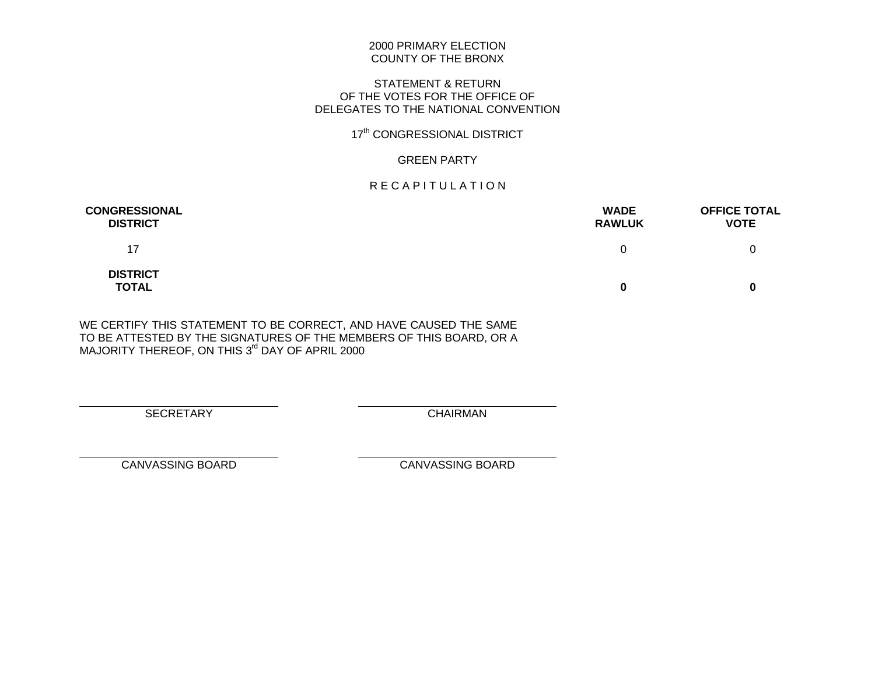#### 2000 PRIMARY ELECTION COUNTY OF THE BRONX

## STATEMENT & RETURN OF THE VOTES FOR THE OFFICE OF DELEGATES TO THE NATIONAL CONVENTION

# 17<sup>th</sup> CONGRESSIONAL DISTRICT

## GREEN PARTY

## R E C A P I T U L A T I O N

| <b>CONGRESSIONAL</b><br><b>DISTRICT</b> | <b>WADE</b><br><b>RAWLUK</b> | <b>OFFICE TOTAL</b><br><b>VOTE</b> |
|-----------------------------------------|------------------------------|------------------------------------|
| 17                                      | 0                            |                                    |
| <b>DISTRICT</b><br><b>TOTAL</b>         | 0                            |                                    |

WE CERTIFY THIS STATEMENT TO BE CORRECT, AND HAVE CAUSED THE SAME TO BE ATTESTED BY THE SIGNATURES OF THE MEMBERS OF THIS BOARD, OR A MAJORITY THEREOF, ON THIS 3<sup>rd</sup> DAY OF APRIL 2000

SECRETARY CHAIRMAN

 $\overline{a}$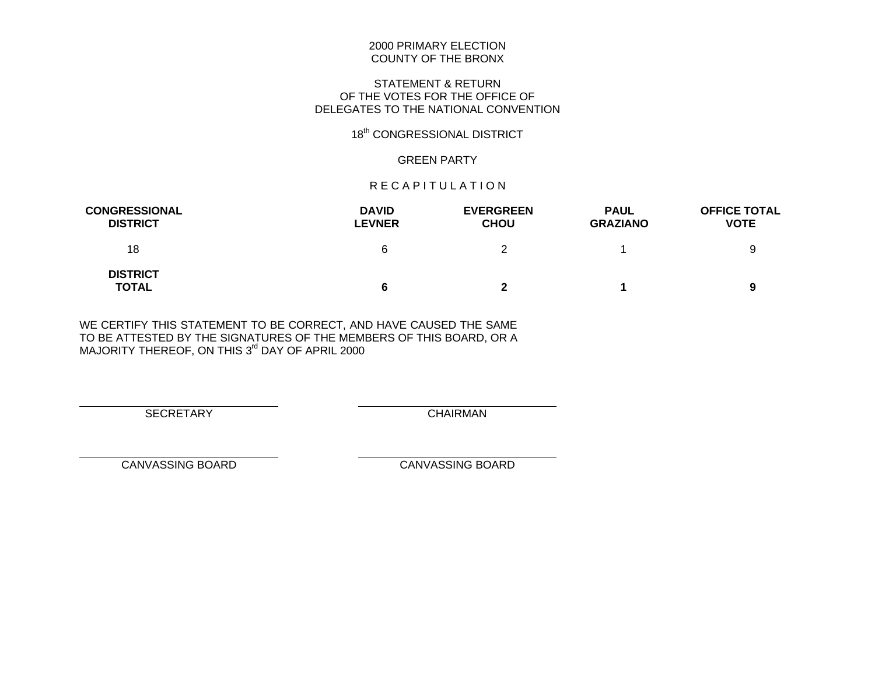#### 2000 PRIMARY ELECTION COUNTY OF THE BRONX

## STATEMENT & RETURN OF THE VOTES FOR THE OFFICE OF DELEGATES TO THE NATIONAL CONVENTION

# 18<sup>th</sup> CONGRESSIONAL DISTRICT

### GREEN PARTY

## R E C A P I T U L A T I O N

| <b>CONGRESSIONAL</b><br><b>DISTRICT</b> | <b>DAVID</b><br><b>LEVNER</b> | <b>EVERGREEN</b><br><b>CHOU</b> | <b>PAUL</b><br><b>GRAZIANO</b> | <b>OFFICE TOTAL</b><br><b>VOTE</b> |
|-----------------------------------------|-------------------------------|---------------------------------|--------------------------------|------------------------------------|
| 18                                      | 6                             |                                 |                                | 9                                  |
| <b>DISTRICT</b><br><b>TOTAL</b>         | 6                             |                                 |                                | 9                                  |

WE CERTIFY THIS STATEMENT TO BE CORRECT, AND HAVE CAUSED THE SAME TO BE ATTESTED BY THE SIGNATURES OF THE MEMBERS OF THIS BOARD, OR A MAJORITY THEREOF, ON THIS 3<sup>rd</sup> DAY OF APRIL 2000

SECRETARY CHAIRMAN

 $\overline{a}$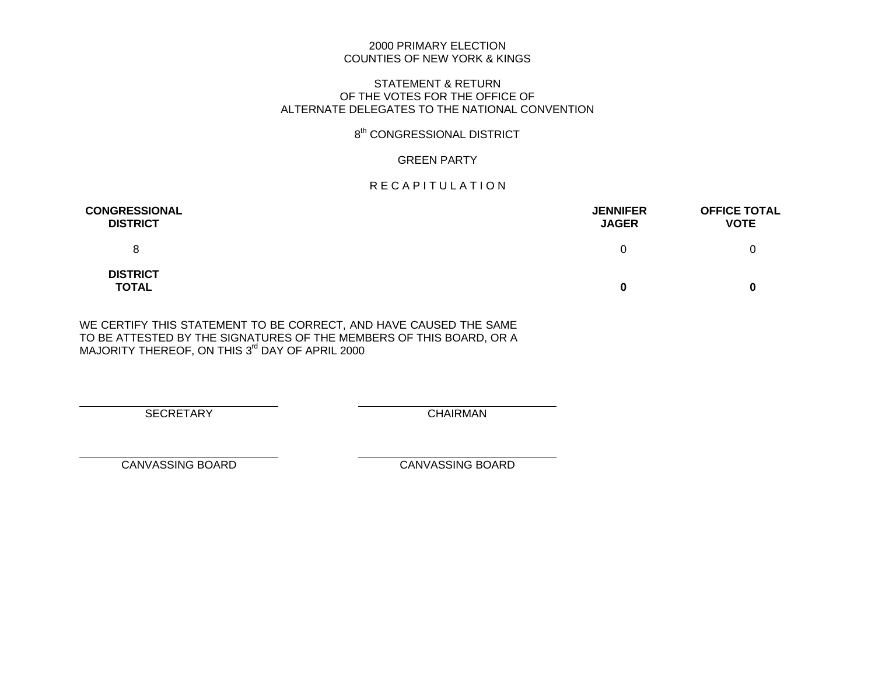## 2000 PRIMARY ELECTION COUNTIES OF NEW YORK & KINGS

#### STATEMENT & RETURN OF THE VOTES FOR THE OFFICE OF ALTERNATE DELEGATES TO THE NATIONAL CONVENTION

## 8<sup>th</sup> CONGRESSIONAL DISTRICT

## GREEN PARTY

## R E C A P I T U L A T I O N

| <b>CONGRESSIONAL</b><br><b>DISTRICT</b> | <b>JENNIFER</b><br><b>JAGER</b> | <b>OFFICE TOTAL</b><br><b>VOTE</b> |
|-----------------------------------------|---------------------------------|------------------------------------|
| 8                                       | 0                               |                                    |
| <b>DISTRICT</b><br><b>TOTAL</b>         | 0                               |                                    |

WE CERTIFY THIS STATEMENT TO BE CORRECT, AND HAVE CAUSED THE SAME TO BE ATTESTED BY THE SIGNATURES OF THE MEMBERS OF THIS BOARD, OR A MAJORITY THEREOF, ON THIS 3<sup>rd</sup> DAY OF APRIL 2000

SECRETARY CHAIRMAN

 $\overline{a}$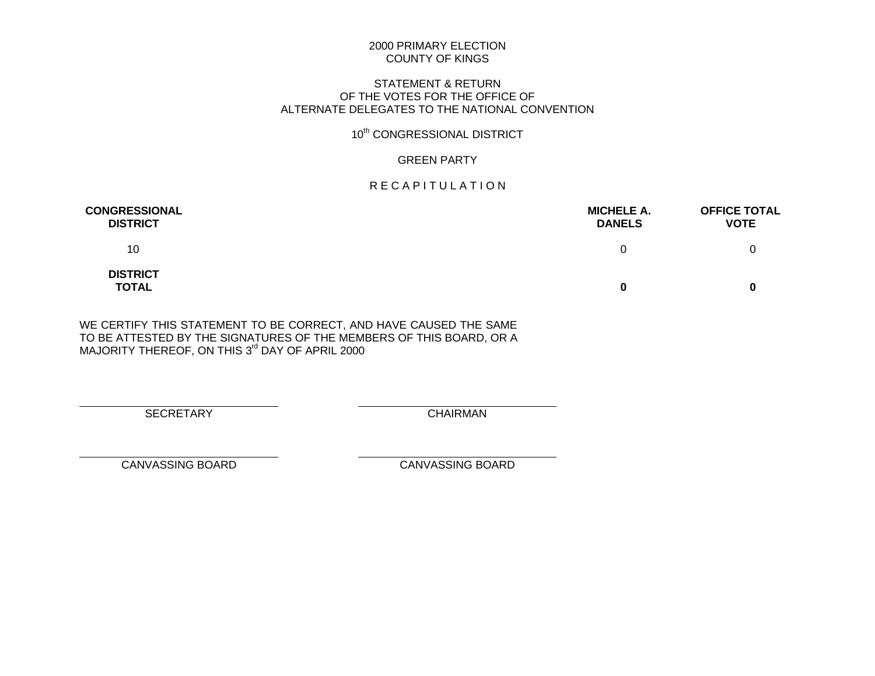## STATEMENT & RETURN OF THE VOTES FOR THE OFFICE OF ALTERNATE DELEGATES TO THE NATIONAL CONVENTION

# 10<sup>th</sup> CONGRESSIONAL DISTRICT

## GREEN PARTY

## R E C A P I T U L A T I O N

| <b>CONGRESSIONAL</b><br><b>DISTRICT</b> | <b>MICHELE A.</b><br><b>DANELS</b> | <b>OFFICE TOTAL</b><br><b>VOTE</b> |
|-----------------------------------------|------------------------------------|------------------------------------|
| 10                                      | 0                                  |                                    |
| <b>DISTRICT</b><br><b>TOTAL</b>         | 0                                  |                                    |

WE CERTIFY THIS STATEMENT TO BE CORRECT, AND HAVE CAUSED THE SAME TO BE ATTESTED BY THE SIGNATURES OF THE MEMBERS OF THIS BOARD, OR A MAJORITY THEREOF, ON THIS 3<sup>rd</sup> DAY OF APRIL 2000

SECRETARY CHAIRMAN

 $\overline{a}$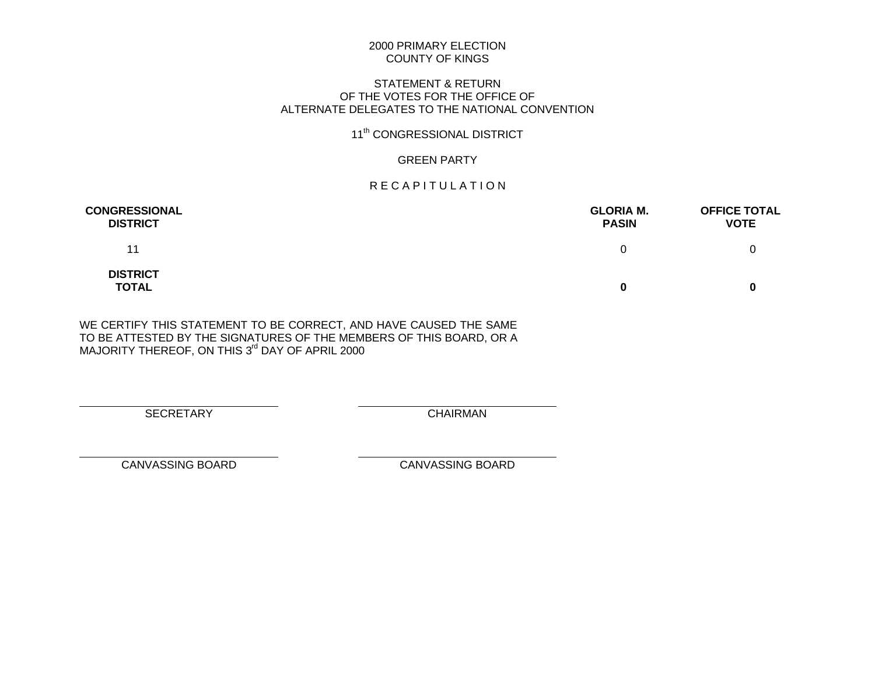## STATEMENT & RETURN OF THE VOTES FOR THE OFFICE OF ALTERNATE DELEGATES TO THE NATIONAL CONVENTION

# 11<sup>th</sup> CONGRESSIONAL DISTRICT

## GREEN PARTY

## R E C A P I T U L A T I O N

| <b>CONGRESSIONAL</b><br><b>DISTRICT</b> | <b>GLORIA M.</b><br><b>PASIN</b> | <b>OFFICE TOTAL</b><br><b>VOTE</b> |
|-----------------------------------------|----------------------------------|------------------------------------|
| 11                                      | 0                                |                                    |
| <b>DISTRICT</b><br><b>TOTAL</b>         | 0                                |                                    |

WE CERTIFY THIS STATEMENT TO BE CORRECT, AND HAVE CAUSED THE SAME TO BE ATTESTED BY THE SIGNATURES OF THE MEMBERS OF THIS BOARD, OR A MAJORITY THEREOF, ON THIS 3<sup>rd</sup> DAY OF APRIL 2000

SECRETARY CHAIRMAN

 $\overline{a}$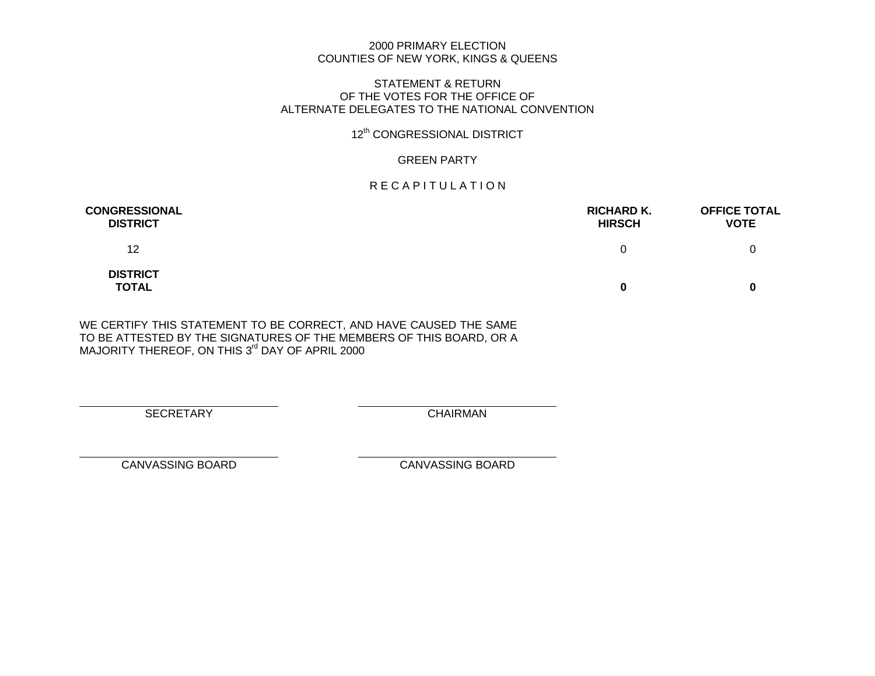#### 2000 PRIMARY ELECTION COUNTIES OF NEW YORK, KINGS & QUEENS

#### STATEMENT & RETURN OF THE VOTES FOR THE OFFICE OF ALTERNATE DELEGATES TO THE NATIONAL CONVENTION

# 12<sup>th</sup> CONGRESSIONAL DISTRICT

## GREEN PARTY

## R E C A P I T U L A T I O N

| <b>CONGRESSIONAL</b><br><b>DISTRICT</b> | <b>RICHARD K.</b><br><b>HIRSCH</b> | <b>OFFICE TOTAL</b><br><b>VOTE</b> |
|-----------------------------------------|------------------------------------|------------------------------------|
| 12                                      | 0                                  |                                    |
| <b>DISTRICT</b><br><b>TOTAL</b>         | 0                                  |                                    |

WE CERTIFY THIS STATEMENT TO BE CORRECT, AND HAVE CAUSED THE SAME TO BE ATTESTED BY THE SIGNATURES OF THE MEMBERS OF THIS BOARD, OR A MAJORITY THEREOF, ON THIS 3<sup>rd</sup> DAY OF APRIL 2000

SECRETARY CHAIRMAN

 $\overline{a}$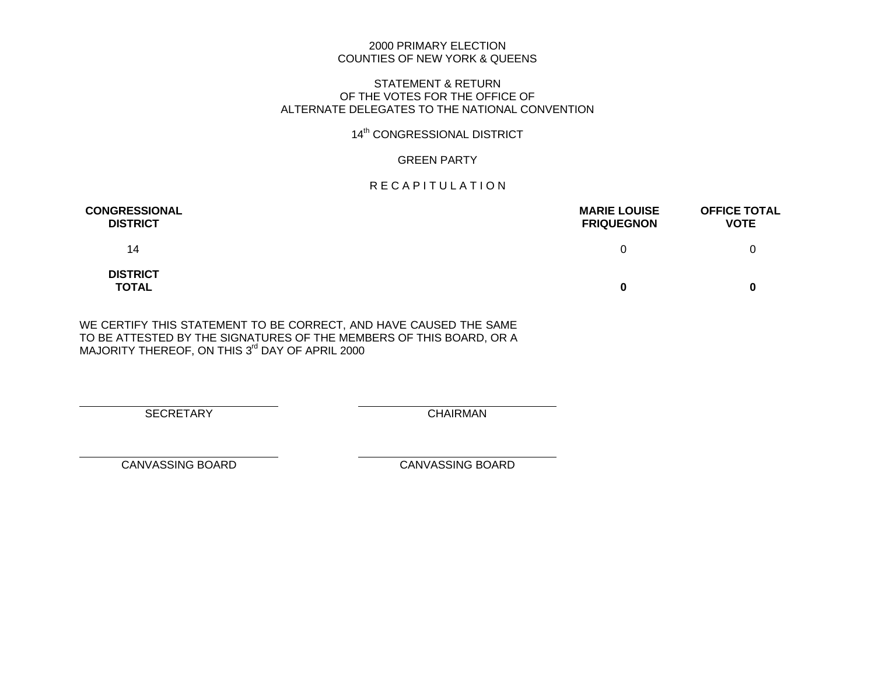## 2000 PRIMARY ELECTION COUNTIES OF NEW YORK & QUEENS

#### STATEMENT & RETURN OF THE VOTES FOR THE OFFICE OF ALTERNATE DELEGATES TO THE NATIONAL CONVENTION

# 14<sup>th</sup> CONGRESSIONAL DISTRICT

## GREEN PARTY

## R E C A P I T U L A T I O N

| <b>CONGRESSIONAL</b><br><b>DISTRICT</b> | <b>MARIE LOUISE</b><br><b>FRIQUEGNON</b> | <b>OFFICE TOTAL</b><br><b>VOTE</b> |
|-----------------------------------------|------------------------------------------|------------------------------------|
| 14                                      | 0                                        |                                    |
| <b>DISTRICT</b><br><b>TOTAL</b>         | 0                                        | 0                                  |

WE CERTIFY THIS STATEMENT TO BE CORRECT, AND HAVE CAUSED THE SAME TO BE ATTESTED BY THE SIGNATURES OF THE MEMBERS OF THIS BOARD, OR A MAJORITY THEREOF, ON THIS 3<sup>rd</sup> DAY OF APRIL 2000

SECRETARY CHAIRMAN

 $\overline{a}$